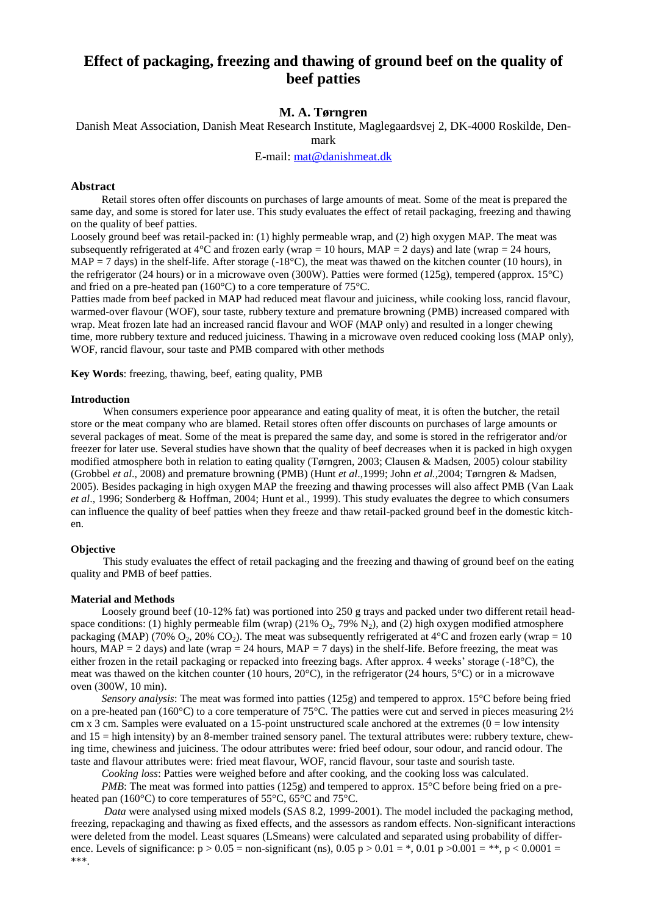# **Effect of packaging, freezing and thawing of ground beef on the quality of beef patties**

# **M. A. Tørngren**

Danish Meat Association, Danish Meat Research Institute, Maglegaardsvej 2, DK-4000 Roskilde, Den-

# mark

E-mail: [mat@danishmeat.dk](mailto:mat@danishmeat.dk)

# **Abstract**

Retail stores often offer discounts on purchases of large amounts of meat. Some of the meat is prepared the same day, and some is stored for later use. This study evaluates the effect of retail packaging, freezing and thawing on the quality of beef patties.

Loosely ground beef was retail-packed in: (1) highly permeable wrap, and (2) high oxygen MAP. The meat was subsequently refrigerated at  $4^{\circ}$ C and frozen early (wrap = 10 hours, MAP = 2 days) and late (wrap = 24 hours, MAP = 7 days) in the shelf-life. After storage  $(-18^{\circ}C)$ , the meat was thawed on the kitchen counter (10 hours), in the refrigerator (24 hours) or in a microwave oven (300W). Patties were formed (125g), tempered (approx. 15°C) and fried on a pre-heated pan (160°C) to a core temperature of 75°C.

Patties made from beef packed in MAP had reduced meat flavour and juiciness, while cooking loss, rancid flavour, warmed-over flavour (WOF), sour taste, rubbery texture and premature browning (PMB) increased compared with wrap. Meat frozen late had an increased rancid flavour and WOF (MAP only) and resulted in a longer chewing time, more rubbery texture and reduced juiciness. Thawing in a microwave oven reduced cooking loss (MAP only), WOF, rancid flavour, sour taste and PMB compared with other methods

**Key Words**: freezing, thawing, beef, eating quality, PMB

## **Introduction**

When consumers experience poor appearance and eating quality of meat, it is often the butcher, the retail store or the meat company who are blamed. Retail stores often offer discounts on purchases of large amounts or several packages of meat. Some of the meat is prepared the same day, and some is stored in the refrigerator and/or freezer for later use. Several studies have shown that the quality of beef decreases when it is packed in high oxygen modified atmosphere both in relation to eating quality (Tørngren, 2003; Clausen & Madsen, 2005) colour stability (Grobbel *et al*., 2008) and premature browning (PMB) (Hunt *et al*.,1999; John *et al.,*2004; Tørngren & Madsen, 2005). Besides packaging in high oxygen MAP the freezing and thawing processes will also affect PMB (Van Laak *et al*., 1996; Sonderberg & Hoffman, 2004; Hunt et al., 1999). This study evaluates the degree to which consumers can influence the quality of beef patties when they freeze and thaw retail-packed ground beef in the domestic kitchen.

#### **Objective**

This study evaluates the effect of retail packaging and the freezing and thawing of ground beef on the eating quality and PMB of beef patties.

#### **Material and Methods**

Loosely ground beef (10-12% fat) was portioned into 250 g trays and packed under two different retail headspace conditions: (1) highly permeable film (wrap) (21%  $O_2$ , 79% N<sub>2</sub>), and (2) high oxygen modified atmosphere packaging (MAP) (70% O<sub>2</sub>, 20% CO<sub>2</sub>). The meat was subsequently refrigerated at 4<sup>o</sup>C and frozen early (wrap = 10 hours, MAP = 2 days) and late (wrap = 24 hours, MAP = 7 days) in the shelf-life. Before freezing, the meat was either frozen in the retail packaging or repacked into freezing bags. After approx. 4 weeks' storage (-18°C), the meat was thawed on the kitchen counter (10 hours, 20°C), in the refrigerator (24 hours, 5°C) or in a microwave oven (300W, 10 min).

*Sensory analysis*: The meat was formed into patties (125g) and tempered to approx. 15°C before being fried on a pre-heated pan (160°C) to a core temperature of 75°C. The patties were cut and served in pieces measuring 2½ cm x 3 cm. Samples were evaluated on a 15-point unstructured scale anchored at the extremes ( $0 =$ low intensity and 15 = high intensity) by an 8-member trained sensory panel. The textural attributes were: rubbery texture, chewing time, chewiness and juiciness. The odour attributes were: fried beef odour, sour odour, and rancid odour. The taste and flavour attributes were: fried meat flavour, WOF, rancid flavour, sour taste and sourish taste.

*Cooking loss*: Patties were weighed before and after cooking, and the cooking loss was calculated.

*PMB*: The meat was formed into patties (125g) and tempered to approx. 15<sup>o</sup>C before being fried on a preheated pan (160°C) to core temperatures of 55°C, 65°C and 75°C.

*Data* were analysed using mixed models (SAS 8.2, 1999-2001). The model included the packaging method, freezing, repackaging and thawing as fixed effects, and the assessors as random effects. Non-significant interactions were deleted from the model. Least squares (LSmeans) were calculated and separated using probability of difference. Levels of significance:  $p > 0.05 =$  non-significant (ns),  $0.05 p > 0.01 = *, 0.01 p > 0.001 = **$ ,  $p < 0.0001 =$ \*\*\*.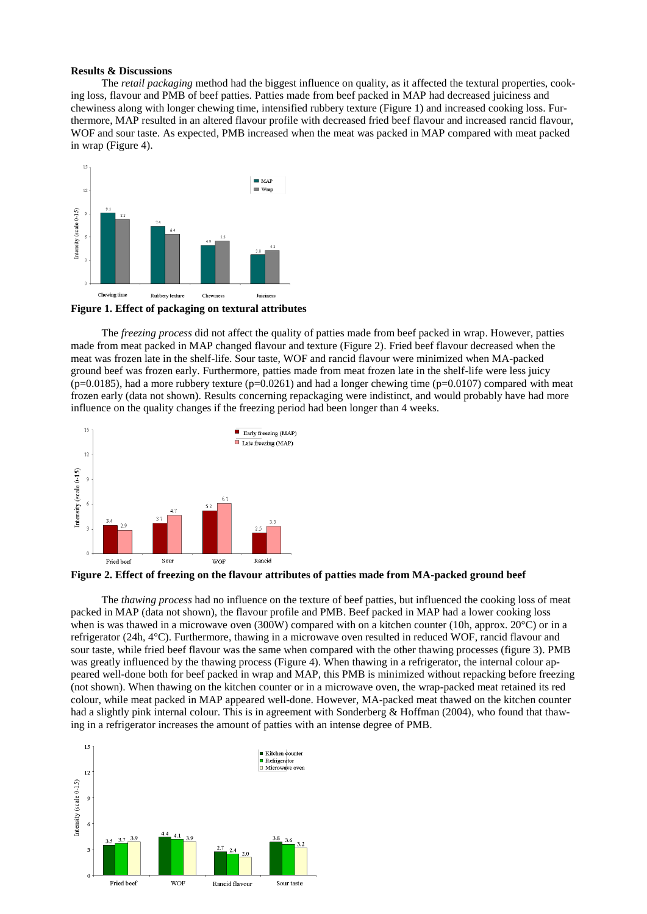#### **Results & Discussions**

The *retail packaging* method had the biggest influence on quality, as it affected the textural properties, cooking loss, flavour and PMB of beef patties. Patties made from beef packed in MAP had decreased juiciness and chewiness along with longer chewing time, intensified rubbery texture (Figure 1) and increased cooking loss. Furthermore, MAP resulted in an altered flavour profile with decreased fried beef flavour and increased rancid flavour, WOF and sour taste. As expected, PMB increased when the meat was packed in MAP compared with meat packed in wrap (Figure 4).



**Figure 1. Effect of packaging on textural attributes**

The *freezing process* did not affect the quality of patties made from beef packed in wrap. However, patties made from meat packed in MAP changed flavour and texture (Figure 2). Fried beef flavour decreased when the meat was frozen late in the shelf-life. Sour taste, WOF and rancid flavour were minimized when MA-packed ground beef was frozen early. Furthermore, patties made from meat frozen late in the shelf-life were less juicy  $(p=0.0185)$ , had a more rubbery texture  $(p=0.0261)$  and had a longer chewing time  $(p=0.0107)$  compared with meat frozen early (data not shown). Results concerning repackaging were indistinct, and would probably have had more influence on the quality changes if the freezing period had been longer than 4 weeks.



**Figure 2. Effect of freezing on the flavour attributes of patties made from MA-packed ground beef**

The *thawing process* had no influence on the texture of beef patties, but influenced the cooking loss of meat packed in MAP (data not shown), the flavour profile and PMB. Beef packed in MAP had a lower cooking loss when is was thawed in a microwave oven (300W) compared with on a kitchen counter (10h, approx. 20°C) or in a refrigerator (24h, 4°C). Furthermore, thawing in a microwave oven resulted in reduced WOF, rancid flavour and sour taste, while fried beef flavour was the same when compared with the other thawing processes (figure 3). PMB was greatly influenced by the thawing process (Figure 4). When thawing in a refrigerator, the internal colour appeared well-done both for beef packed in wrap and MAP, this PMB is minimized without repacking before freezing (not shown). When thawing on the kitchen counter or in a microwave oven, the wrap-packed meat retained its red colour, while meat packed in MAP appeared well-done. However, MA-packed meat thawed on the kitchen counter had a slightly pink internal colour. This is in agreement with Sonderberg & Hoffman (2004), who found that thawing in a refrigerator increases the amount of patties with an intense degree of PMB.